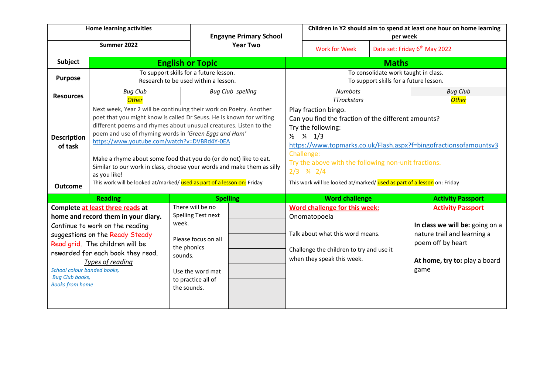|                                                                                                                                                                                                                                                                                                                              | <b>Home learning activities</b>                                                                                                                                                                                                                                                                                                                                                                                                                                                        |                                                                                                                                                                  | <b>Engayne Primary School</b><br><b>Year Two</b> |                                                                                                                                                                                                                                                                                                          | Children in Y2 should aim to spend at least one hour on home learning<br>per week                                                                           |  |                                                                                                                                                          |  |
|------------------------------------------------------------------------------------------------------------------------------------------------------------------------------------------------------------------------------------------------------------------------------------------------------------------------------|----------------------------------------------------------------------------------------------------------------------------------------------------------------------------------------------------------------------------------------------------------------------------------------------------------------------------------------------------------------------------------------------------------------------------------------------------------------------------------------|------------------------------------------------------------------------------------------------------------------------------------------------------------------|--------------------------------------------------|----------------------------------------------------------------------------------------------------------------------------------------------------------------------------------------------------------------------------------------------------------------------------------------------------------|-------------------------------------------------------------------------------------------------------------------------------------------------------------|--|----------------------------------------------------------------------------------------------------------------------------------------------------------|--|
|                                                                                                                                                                                                                                                                                                                              | Summer 2022                                                                                                                                                                                                                                                                                                                                                                                                                                                                            |                                                                                                                                                                  |                                                  |                                                                                                                                                                                                                                                                                                          | <b>Work for Week</b>                                                                                                                                        |  | Date set: Friday 6 <sup>th</sup> May 2022                                                                                                                |  |
| Subject                                                                                                                                                                                                                                                                                                                      | <b>English or Topic</b>                                                                                                                                                                                                                                                                                                                                                                                                                                                                |                                                                                                                                                                  |                                                  |                                                                                                                                                                                                                                                                                                          | <b>Maths</b>                                                                                                                                                |  |                                                                                                                                                          |  |
| <b>Purpose</b>                                                                                                                                                                                                                                                                                                               | To support skills for a future lesson.<br>Research to be used within a lesson.                                                                                                                                                                                                                                                                                                                                                                                                         |                                                                                                                                                                  |                                                  | To consolidate work taught in class.<br>To support skills for a future lesson.                                                                                                                                                                                                                           |                                                                                                                                                             |  |                                                                                                                                                          |  |
| <b>Resources</b>                                                                                                                                                                                                                                                                                                             | <b>Bug Club</b>                                                                                                                                                                                                                                                                                                                                                                                                                                                                        |                                                                                                                                                                  | <b>Bug Club spelling</b>                         |                                                                                                                                                                                                                                                                                                          | <b>Numbots</b>                                                                                                                                              |  | <b>Bug Club</b>                                                                                                                                          |  |
|                                                                                                                                                                                                                                                                                                                              | <b>Other</b>                                                                                                                                                                                                                                                                                                                                                                                                                                                                           |                                                                                                                                                                  |                                                  | <b>TTrockstars</b>                                                                                                                                                                                                                                                                                       |                                                                                                                                                             |  | <b>Other</b>                                                                                                                                             |  |
| <b>Description</b><br>of task                                                                                                                                                                                                                                                                                                | Next week, Year 2 will be continuing their work on Poetry. Another<br>poet that you might know is called Dr Seuss. He is known for writing<br>different poems and rhymes about unusual creatures. Listen to the<br>poem and use of rhyming words in 'Green Eggs and Ham'<br>https://www.youtube.com/watch?v=DVBRd4Y-0EA<br>Make a rhyme about some food that you do (or do not) like to eat.<br>Similar to our work in class, choose your words and make them as silly<br>as you like! |                                                                                                                                                                  |                                                  | Play fraction bingo.<br>Can you find the fraction of the different amounts?<br>Try the following:<br>$\frac{1}{2}$ $\frac{1}{3}$<br>https://www.topmarks.co.uk/Flash.aspx?f=bingofractionsofamountsv3<br>Challenge:<br>Try the above with the following non-unit fractions.<br>$2/3$ $\frac{3}{4}$ $2/4$ |                                                                                                                                                             |  |                                                                                                                                                          |  |
| <b>Outcome</b>                                                                                                                                                                                                                                                                                                               | This work will be looked at/marked/ used as part of a lesson on: Friday                                                                                                                                                                                                                                                                                                                                                                                                                |                                                                                                                                                                  |                                                  |                                                                                                                                                                                                                                                                                                          | This work will be looked at/marked/ used as part of a lesson on: Friday                                                                                     |  |                                                                                                                                                          |  |
| <b>Reading</b>                                                                                                                                                                                                                                                                                                               |                                                                                                                                                                                                                                                                                                                                                                                                                                                                                        |                                                                                                                                                                  | <b>Spelling</b>                                  |                                                                                                                                                                                                                                                                                                          | <b>Word challenge</b>                                                                                                                                       |  | <b>Activity Passport</b>                                                                                                                                 |  |
| Complete at least three reads at<br>home and record them in your diary.<br>Continue to work on the reading<br>suggestions on the Ready Steady<br>Read grid. The children will be<br>rewarded for each book they read.<br>Types of reading<br>School colour banded books,<br><b>Bug Club books,</b><br><b>Books from home</b> |                                                                                                                                                                                                                                                                                                                                                                                                                                                                                        | There will be no<br><b>Spelling Test next</b><br>week.<br>Please focus on all<br>the phonics<br>sounds.<br>Use the word mat<br>to practice all of<br>the sounds. |                                                  |                                                                                                                                                                                                                                                                                                          | Word challenge for this week:<br>Onomatopoeia<br>Talk about what this word means.<br>Challenge the children to try and use it<br>when they speak this week. |  | <b>Activity Passport</b><br>In class we will be: going on a<br>nature trail and learning a<br>poem off by heart<br>At home, try to: play a board<br>game |  |